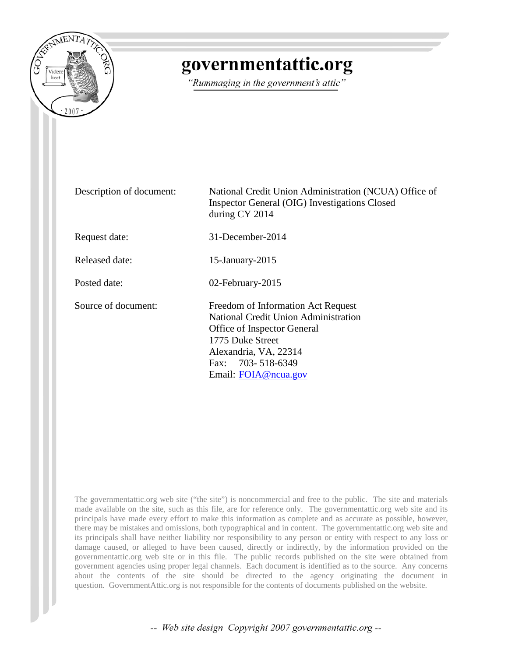

## governmentattic.org

"Rummaging in the government's attic"

| Description of document: | National Credit Union Administration (NCUA) Office of<br>Inspector General (OIG) Investigations Closed<br>during CY 2014                                                                                   |  |  |
|--------------------------|------------------------------------------------------------------------------------------------------------------------------------------------------------------------------------------------------------|--|--|
| Request date:            | 31-December-2014                                                                                                                                                                                           |  |  |
| Released date:           | 15-January-2015                                                                                                                                                                                            |  |  |
| Posted date:             | 02-February-2015                                                                                                                                                                                           |  |  |
| Source of document:      | Freedom of Information Act Request<br><b>National Credit Union Administration</b><br>Office of Inspector General<br>1775 Duke Street<br>Alexandria, VA, 22314<br>Fax: 703-518-6349<br>Email: FOIA@ncua.gov |  |  |

The governmentattic.org web site ("the site") is noncommercial and free to the public. The site and materials made available on the site, such as this file, are for reference only. The governmentattic.org web site and its principals have made every effort to make this information as complete and as accurate as possible, however, there may be mistakes and omissions, both typographical and in content. The governmentattic.org web site and its principals shall have neither liability nor responsibility to any person or entity with respect to any loss or damage caused, or alleged to have been caused, directly or indirectly, by the information provided on the governmentattic.org web site or in this file. The public records published on the site were obtained from government agencies using proper legal channels. Each document is identified as to the source. Any concerns about the contents of the site should be directed to the agency originating the document in question. GovernmentAttic.org is not responsible for the contents of documents published on the website.

-- Web site design Copyright 2007 governmentattic.org --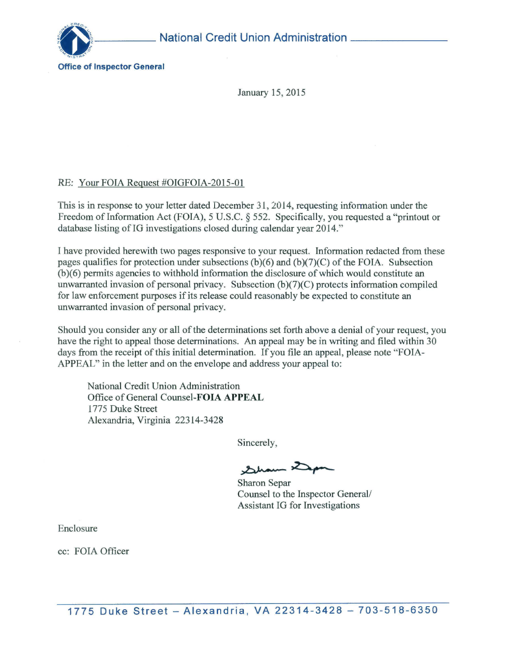

January 15, 2015

## *RE:* Your FOIA Request #OIGFOIA-2015-01

This is in response to your letter dated December 31, 2014, requesting information under the Freedom of Information Act (FOIA), 5 U.S.C. § 552. Specifically, you requested a "printout or database listing of IG investigations closed during calendar year 2014."

I have provided herewith two pages responsive to your request. Information redacted from these pages qualifies for protection under subsections (b)(6) and (b)(7)(C) of the FOIA. Subsection (b)(6) permits agencies to withhold information the disclosure of which would constitute an unwarranted invasion of personal privacy. Subsection (b)(7)(C) protects information compiled for law enforcement purposes if its release could reasonably be expected to constitute an unwarranted invasion of personal privacy.

Should you consider any or all of the determinations set forth above a denial of your request, you have the right to appeal those determinations. An appeal may be in writing and filed within 30 days from the receipt of this initial determination. If you file an appeal, please note "FOIA-APPEAL" in the letter and on the envelope and address your appeal to:

National Credit Union Administration Office of General Counsel-FOIA **APPEAL**  1775 Duke Street Alexandria, Virginia 22314-3428

Sincerely,

 $22$ 

Sharon Separ Counsel to the Inspector General/ Assistant IG for Investigations

Enclosure

cc: FOIA Officer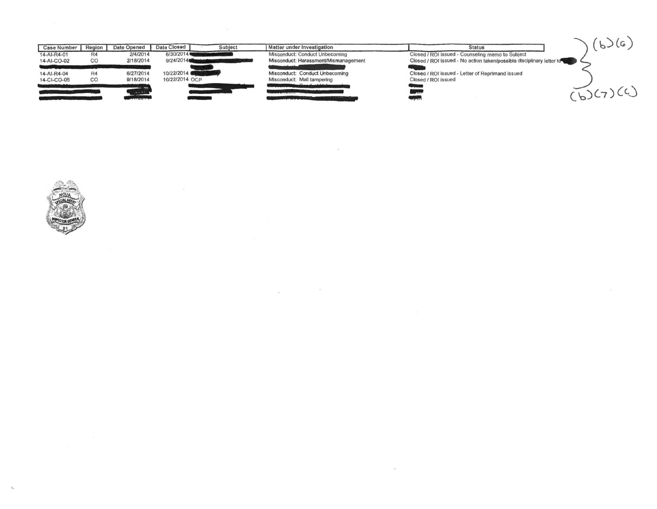

 $\sim$ 

 $\sim$ 

 $\mathcal{L}_{\mathcal{R}}$